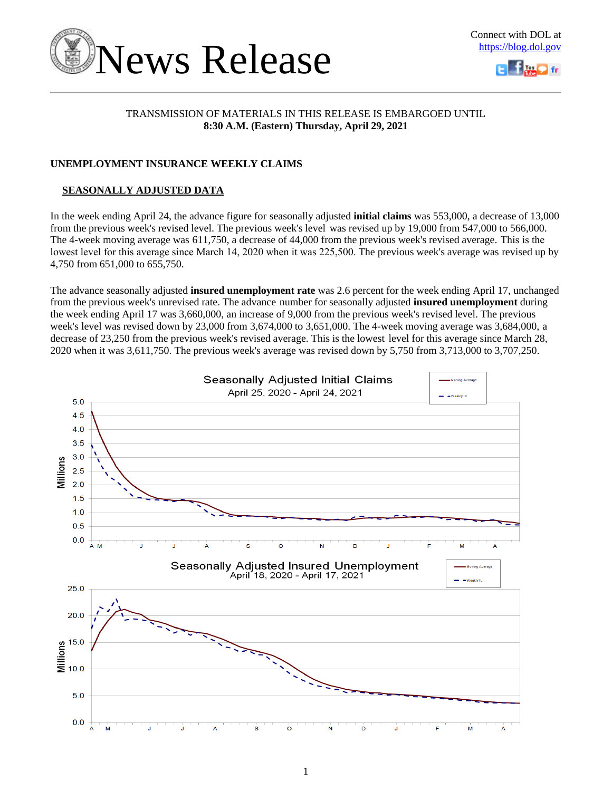



### TRANSMISSION OF MATERIALS IN THIS RELEASE IS EMBARGOED UNTIL **8:30 A.M. (Eastern) Thursday, April 29, 2021**

### **UNEMPLOYMENT INSURANCE WEEKLY CLAIMS**

### **SEASONALLY ADJUSTED DATA**

In the week ending April 24, the advance figure for seasonally adjusted **initial claims** was 553,000, a decrease of 13,000 from the previous week's revised level. The previous week's level was revised up by 19,000 from 547,000 to 566,000. The 4-week moving average was 611,750, a decrease of 44,000 from the previous week's revised average. This is the lowest level for this average since March 14, 2020 when it was 225,500. The previous week's average was revised up by 4,750 from 651,000 to 655,750.

The advance seasonally adjusted **insured unemployment rate** was 2.6 percent for the week ending April 17, unchanged from the previous week's unrevised rate. The advance number for seasonally adjusted **insured unemployment** during the week ending April 17 was 3,660,000, an increase of 9,000 from the previous week's revised level. The previous week's level was revised down by 23,000 from 3,674,000 to 3,651,000. The 4-week moving average was 3,684,000, a decrease of 23,250 from the previous week's revised average. This is the lowest level for this average since March 28, 2020 when it was 3,611,750. The previous week's average was revised down by 5,750 from 3,713,000 to 3,707,250.

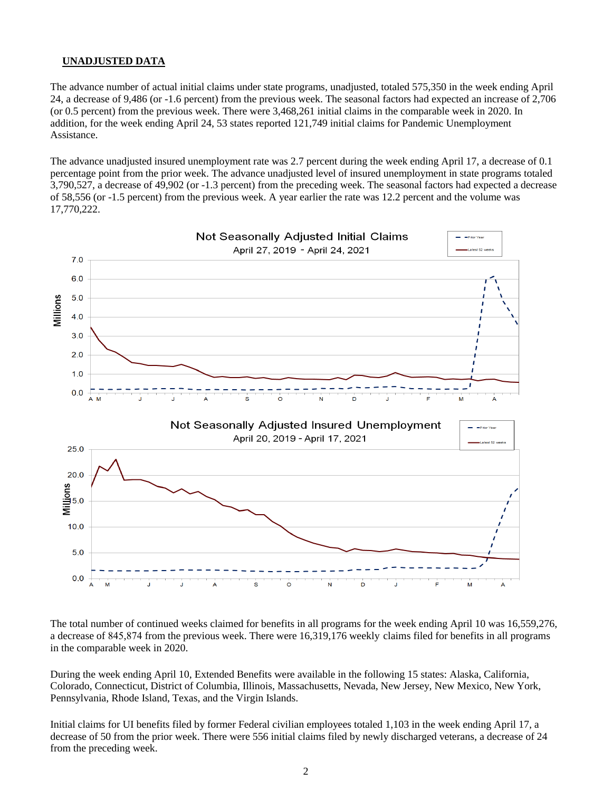### **UNADJUSTED DATA**

The advance number of actual initial claims under state programs, unadjusted, totaled 575,350 in the week ending April 24, a decrease of 9,486 (or -1.6 percent) from the previous week. The seasonal factors had expected an increase of 2,706 (or 0.5 percent) from the previous week. There were 3,468,261 initial claims in the comparable week in 2020. In addition, for the week ending April 24, 53 states reported 121,749 initial claims for Pandemic Unemployment Assistance.

The advance unadjusted insured unemployment rate was 2.7 percent during the week ending April 17, a decrease of 0.1 percentage point from the prior week. The advance unadjusted level of insured unemployment in state programs totaled 3,790,527, a decrease of 49,902 (or -1.3 percent) from the preceding week. The seasonal factors had expected a decrease of 58,556 (or -1.5 percent) from the previous week. A year earlier the rate was 12.2 percent and the volume was 17,770,222.



The total number of continued weeks claimed for benefits in all programs for the week ending April 10 was 16,559,276, a decrease of 845,874 from the previous week. There were 16,319,176 weekly claims filed for benefits in all programs in the comparable week in 2020.

During the week ending April 10, Extended Benefits were available in the following 15 states: Alaska, California, Colorado, Connecticut, District of Columbia, Illinois, Massachusetts, Nevada, New Jersey, New Mexico, New York, Pennsylvania, Rhode Island, Texas, and the Virgin Islands.

Initial claims for UI benefits filed by former Federal civilian employees totaled 1,103 in the week ending April 17, a decrease of 50 from the prior week. There were 556 initial claims filed by newly discharged veterans, a decrease of 24 from the preceding week.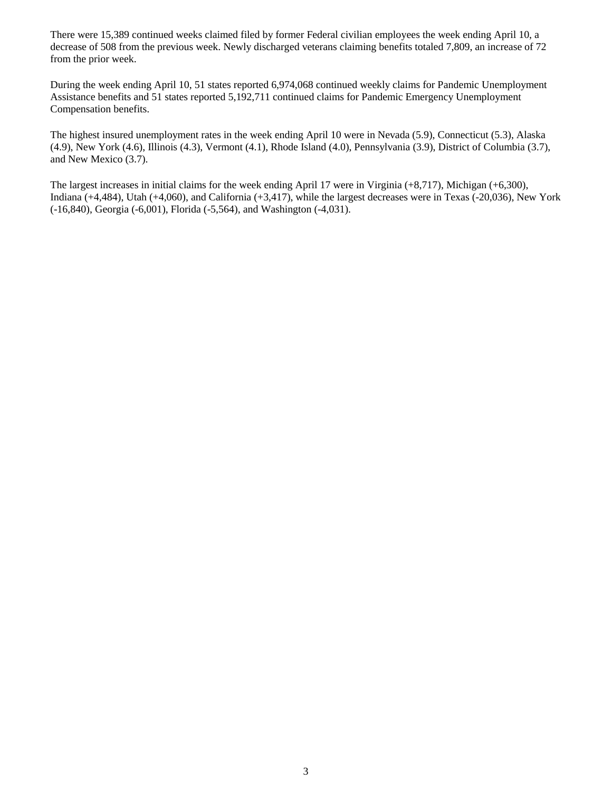There were 15,389 continued weeks claimed filed by former Federal civilian employees the week ending April 10, a decrease of 508 from the previous week. Newly discharged veterans claiming benefits totaled 7,809, an increase of 72 from the prior week.

During the week ending April 10, 51 states reported 6,974,068 continued weekly claims for Pandemic Unemployment Assistance benefits and 51 states reported 5,192,711 continued claims for Pandemic Emergency Unemployment Compensation benefits.

The highest insured unemployment rates in the week ending April 10 were in Nevada (5.9), Connecticut (5.3), Alaska (4.9), New York (4.6), Illinois (4.3), Vermont (4.1), Rhode Island (4.0), Pennsylvania (3.9), District of Columbia (3.7), and New Mexico (3.7).

The largest increases in initial claims for the week ending April 17 were in Virginia (+8,717), Michigan (+6,300), Indiana (+4,484), Utah (+4,060), and California (+3,417), while the largest decreases were in Texas (-20,036), New York (-16,840), Georgia (-6,001), Florida (-5,564), and Washington (-4,031).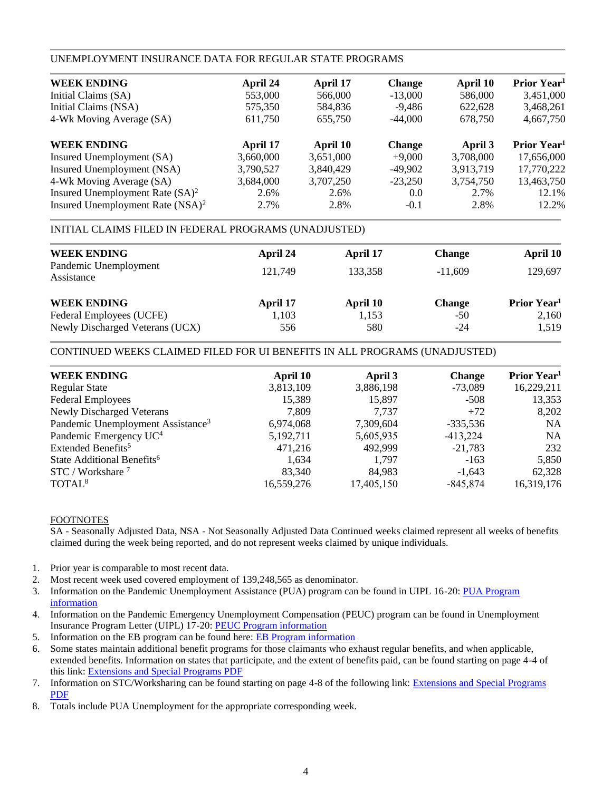### UNEMPLOYMENT INSURANCE DATA FOR REGULAR STATE PROGRAMS

| April 24  | April 17  | <b>Change</b> | April 10  | Prior Year <sup>1</sup> |
|-----------|-----------|---------------|-----------|-------------------------|
| 553,000   | 566,000   | $-13,000$     | 586,000   | 3,451,000               |
| 575,350   | 584,836   | $-9,486$      | 622,628   | 3,468,261               |
| 611,750   | 655,750   | $-44,000$     | 678,750   | 4,667,750               |
| April 17  | April 10  | <b>Change</b> | April 3   | Prior Year <sup>1</sup> |
| 3,660,000 | 3,651,000 | $+9,000$      | 3,708,000 | 17,656,000              |
| 3,790,527 | 3,840,429 | $-49,902$     | 3,913,719 | 17,770,222              |
| 3,684,000 | 3,707,250 | $-23,250$     | 3,754,750 | 13,463,750              |
| 2.6%      | 2.6%      | 0.0           | 2.7%      | 12.1%                   |
| 2.7%      | 2.8%      | $-0.1$        | 2.8%      | 12.2%                   |
|           |           |               |           |                         |

### INITIAL CLAIMS FILED IN FEDERAL PROGRAMS (UNADJUSTED)

| <b>WEEK ENDING</b>                  | April 24 | April 17 | <b>Change</b> | April 10                       |
|-------------------------------------|----------|----------|---------------|--------------------------------|
| Pandemic Unemployment<br>Assistance | 121.749  | 133.358  | $-11.609$     | 129,697                        |
| <b>WEEK ENDING</b>                  | April 17 | April 10 | <b>Change</b> | <b>Prior Year</b> <sup>1</sup> |
| Federal Employees (UCFE)            | 1,103    | 1,153    | $-50$         | 2,160                          |
| Newly Discharged Veterans (UCX)     | 556      | 580      | $-24$         | 1,519                          |

### CONTINUED WEEKS CLAIMED FILED FOR UI BENEFITS IN ALL PROGRAMS (UNADJUSTED)

| <b>WEEK ENDING</b>                            | April 10   | April 3    | <b>Change</b> | Prior Year <sup>1</sup> |
|-----------------------------------------------|------------|------------|---------------|-------------------------|
| <b>Regular State</b>                          | 3,813,109  | 3,886,198  | $-73,089$     | 16,229,211              |
| <b>Federal Employees</b>                      | 15,389     | 15,897     | $-508$        | 13,353                  |
| Newly Discharged Veterans                     | 7,809      | 7.737      | $+72$         | 8,202                   |
| Pandemic Unemployment Assistance <sup>3</sup> | 6,974,068  | 7,309,604  | $-335,536$    | <b>NA</b>               |
| Pandemic Emergency UC <sup>4</sup>            | 5,192,711  | 5,605,935  | $-413,224$    | <b>NA</b>               |
| Extended Benefits <sup>5</sup>                | 471,216    | 492,999    | $-21,783$     | 232                     |
| State Additional Benefits <sup>6</sup>        | 1,634      | 1.797      | $-163$        | 5,850                   |
| $STC / Workshare$ <sup>7</sup>                | 83,340     | 84,983     | $-1,643$      | 62,328                  |
| TOTAL <sup>8</sup>                            | 16,559,276 | 17,405,150 | $-845,874$    | 16,319,176              |
|                                               |            |            |               |                         |

### FOOTNOTES

SA - Seasonally Adjusted Data, NSA - Not Seasonally Adjusted Data Continued weeks claimed represent all weeks of benefits claimed during the week being reported, and do not represent weeks claimed by unique individuals.

- 1. Prior year is comparable to most recent data.
- 2. Most recent week used covered employment of 139,248,565 as denominator.
- 3. Information on the Pandemic Unemployment Assistance (PUA) program can be found in UIPL 16-20: [PUA Program](https://wdr.doleta.gov/directives/corr_doc.cfm?DOCN=4628) [information](https://wdr.doleta.gov/directives/corr_doc.cfm?DOCN=4628)
- 4. Information on the Pandemic Emergency Unemployment Compensation (PEUC) program can be found in Unemployment Insurance Program Letter (UIPL) 17-20: [PEUC Program information](https://wdr.doleta.gov/directives/corr_doc.cfm?DOCN=8452)
- 5. Information on the EB program can be found here: **EB Program information**
- 6. Some states maintain additional benefit programs for those claimants who exhaust regular benefits, and when applicable, extended benefits. Information on states that participate, and the extent of benefits paid, can be found starting on page 4-4 of this link: [Extensions and Special Programs PDF](https://oui.doleta.gov/unemploy/pdf/uilawcompar/2020/special.pdf#page=4)
- 7. Information on STC/Worksharing can be found starting on page 4-8 of the following link: [Extensions and Special Programs](https://oui.doleta.gov/unemploy/pdf/uilawcompar/2019/special.pdf#page=8) [PDF](https://oui.doleta.gov/unemploy/pdf/uilawcompar/2019/special.pdf#page=8)
- 8. Totals include PUA Unemployment for the appropriate corresponding week.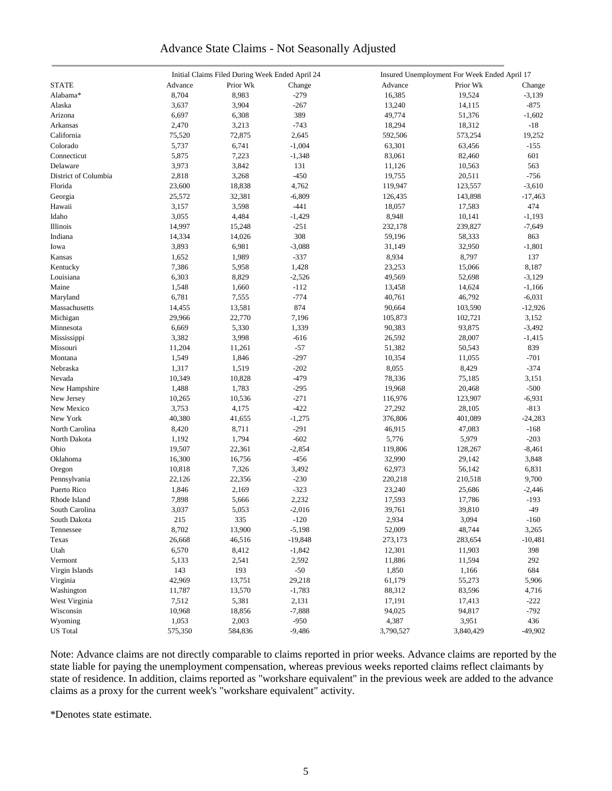### Advance State Claims - Not Seasonally Adjusted

|                      |         | Initial Claims Filed During Week Ended April 24 |           |           | Insured Unemployment For Week Ended April 17 |           |
|----------------------|---------|-------------------------------------------------|-----------|-----------|----------------------------------------------|-----------|
| <b>STATE</b>         | Advance | Prior Wk                                        | Change    | Advance   | Prior Wk                                     | Change    |
| Alabama*             | 8,704   | 8,983                                           | $-279$    | 16,385    | 19,524                                       | $-3,139$  |
| Alaska               | 3,637   | 3,904                                           | $-267$    | 13,240    | 14,115                                       | $-875$    |
| Arizona              | 6,697   | 6,308                                           | 389       | 49,774    | 51,376                                       | $-1,602$  |
| <b>Arkansas</b>      | 2,470   | 3,213                                           | $-743$    | 18,294    | 18,312                                       | $-18$     |
| California           | 75,520  | 72,875                                          | 2,645     | 592,506   | 573,254                                      | 19,252    |
| Colorado             | 5,737   | 6,741                                           | $-1,004$  | 63,301    | 63,456                                       | $-155$    |
| Connecticut          | 5,875   | 7,223                                           | $-1,348$  | 83,061    | 82,460                                       | 601       |
| Delaware             | 3,973   | 3,842                                           | 131       | 11,126    | 10,563                                       | 563       |
| District of Columbia |         |                                                 |           |           |                                              |           |
|                      | 2,818   | 3,268                                           | $-450$    | 19,755    | 20,511                                       | $-756$    |
| Florida              | 23,600  | 18,838                                          | 4,762     | 119,947   | 123,557                                      | $-3,610$  |
| Georgia              | 25,572  | 32,381                                          | $-6,809$  | 126,435   | 143,898                                      | $-17,463$ |
| Hawaii               | 3,157   | 3,598                                           | $-441$    | 18,057    | 17,583                                       | 474       |
| Idaho                | 3,055   | 4,484                                           | $-1,429$  | 8,948     | 10,141                                       | $-1,193$  |
| Illinois             | 14,997  | 15,248                                          | $-251$    | 232,178   | 239,827                                      | $-7,649$  |
| Indiana              | 14,334  | 14,026                                          | 308       | 59,196    | 58,333                                       | 863       |
| Iowa                 | 3,893   | 6,981                                           | $-3,088$  | 31,149    | 32,950                                       | $-1,801$  |
| Kansas               | 1,652   | 1,989                                           | $-337$    | 8,934     | 8,797                                        | 137       |
| Kentucky             | 7,386   | 5,958                                           | 1,428     | 23,253    | 15,066                                       | 8,187     |
| Louisiana            | 6,303   | 8,829                                           | $-2,526$  | 49,569    | 52,698                                       | $-3,129$  |
| Maine                | 1,548   | 1,660                                           | $-112$    | 13,458    | 14,624                                       | $-1,166$  |
| Maryland             | 6,781   | 7,555                                           | $-774$    | 40,761    | 46,792                                       | $-6,031$  |
| Massachusetts        | 14,455  | 13,581                                          | 874       | 90,664    | 103,590                                      | $-12,926$ |
| Michigan             | 29,966  | 22,770                                          | 7,196     | 105,873   | 102,721                                      | 3,152     |
| Minnesota            | 6,669   | 5,330                                           | 1,339     | 90,383    | 93,875                                       | $-3,492$  |
| Mississippi          | 3,382   | 3,998                                           | $-616$    | 26,592    | 28,007                                       | $-1,415$  |
| Missouri             | 11,204  | 11,261                                          | $-57$     | 51,382    | 50,543                                       | 839       |
| Montana              | 1,549   | 1,846                                           | $-297$    | 10,354    | 11,055                                       | $-701$    |
| Nebraska             | 1,317   | 1,519                                           | $-202$    | 8,055     | 8,429                                        | $-374$    |
| Nevada               | 10,349  | 10,828                                          | $-479$    | 78,336    | 75,185                                       | 3,151     |
| New Hampshire        | 1,488   | 1,783                                           | $-295$    | 19,968    | 20,468                                       | $-500$    |
| New Jersey           | 10,265  | 10,536                                          | $-271$    | 116,976   | 123,907                                      | $-6,931$  |
| New Mexico           | 3,753   | 4,175                                           | $-422$    | 27,292    | 28,105                                       | $-813$    |
| New York             |         |                                                 |           |           |                                              |           |
|                      | 40,380  | 41,655                                          | $-1,275$  | 376,806   | 401,089                                      | $-24,283$ |
| North Carolina       | 8,420   | 8,711                                           | $-291$    | 46,915    | 47,083                                       | $-168$    |
| North Dakota         | 1,192   | 1,794                                           | $-602$    | 5,776     | 5,979                                        | $-203$    |
| Ohio                 | 19,507  | 22,361                                          | $-2,854$  | 119,806   | 128,267                                      | -8,461    |
| Oklahoma             | 16,300  | 16,756                                          | $-456$    | 32,990    | 29,142                                       | 3,848     |
| Oregon               | 10,818  | 7,326                                           | 3,492     | 62,973    | 56,142                                       | 6,831     |
| Pennsylvania         | 22,126  | 22,356                                          | $-230$    | 220,218   | 210,518                                      | 9,700     |
| Puerto Rico          | 1,846   | 2,169                                           | $-323$    | 23,240    | 25,686                                       | $-2,446$  |
| Rhode Island         | 7,898   | 5,666                                           | 2,232     | 17,593    | 17,786                                       | $-193$    |
| South Carolina       | 3,037   | 5,053                                           | $-2,016$  | 39,761    | 39,810                                       | $-49$     |
| South Dakota         | 215     | 335                                             | $-120$    | 2,934     | 3,094                                        | $-160\,$  |
| Tennessee            | 8,702   | 13,900                                          | $-5,198$  | 52,009    | 48,744                                       | 3,265     |
| Texas                | 26,668  | 46,516                                          | $-19,848$ | 273,173   | 283,654                                      | $-10,481$ |
| Utah                 | 6,570   | 8,412                                           | $-1,842$  | 12,301    | 11,903                                       | 398       |
| Vermont              | 5,133   | 2,541                                           | 2,592     | 11,886    | 11,594                                       | 292       |
| Virgin Islands       | 143     | 193                                             | $-50$     | 1,850     | 1,166                                        | 684       |
| Virginia             | 42,969  | 13,751                                          | 29,218    | 61,179    | 55,273                                       | 5,906     |
| Washington           | 11,787  | 13,570                                          | $-1,783$  | 88,312    | 83,596                                       | 4,716     |
| West Virginia        | 7,512   | 5,381                                           | 2,131     | 17,191    | 17,413                                       | $-222$    |
| Wisconsin            | 10,968  | 18,856                                          | $-7,888$  | 94,025    | 94,817                                       | $-792$    |
| Wyoming              | 1,053   | 2,003                                           | $-950$    | 4,387     | 3,951                                        | 436       |
| <b>US</b> Total      | 575,350 | 584,836                                         | $-9,486$  | 3,790,527 | 3,840,429                                    | $-49,902$ |
|                      |         |                                                 |           |           |                                              |           |

Note: Advance claims are not directly comparable to claims reported in prior weeks. Advance claims are reported by the state liable for paying the unemployment compensation, whereas previous weeks reported claims reflect claimants by state of residence. In addition, claims reported as "workshare equivalent" in the previous week are added to the advance claims as a proxy for the current week's "workshare equivalent" activity.

\*Denotes state estimate.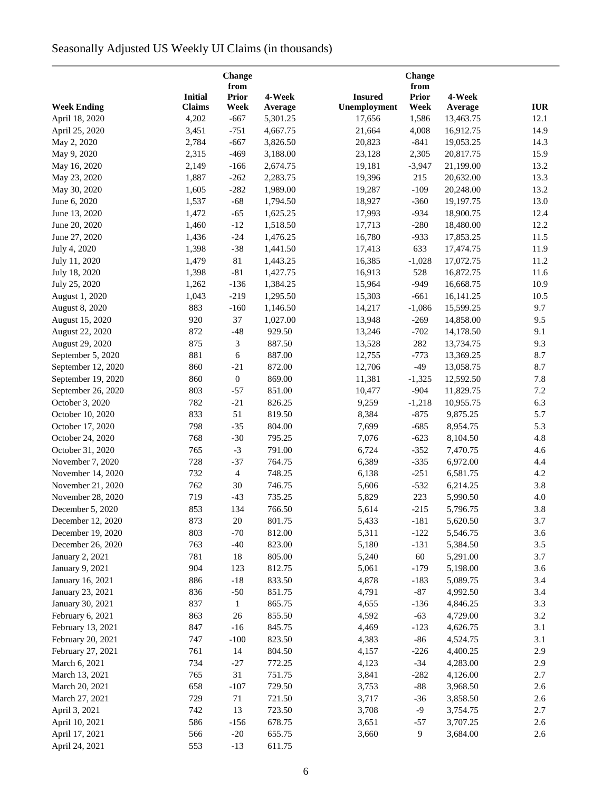# Seasonally Adjusted US Weekly UI Claims (in thousands)

| <b>Change</b><br>from                 |                |                  |          |                |                      |           |            |
|---------------------------------------|----------------|------------------|----------|----------------|----------------------|-----------|------------|
|                                       | <b>Initial</b> | <b>Prior</b>     | 4-Week   | <b>Insured</b> | from<br><b>Prior</b> | 4-Week    |            |
| <b>Week Ending</b>                    | <b>Claims</b>  | Week             | Average  | Unemployment   | Week                 | Average   | <b>IUR</b> |
| April 18, 2020                        | 4,202          | $-667$           | 5,301.25 | 17,656         | 1,586                | 13,463.75 | 12.1       |
| April 25, 2020                        | 3,451          | $-751$           | 4,667.75 | 21,664         | 4,008                | 16,912.75 | 14.9       |
| May 2, 2020                           | 2,784          | $-667$           | 3,826.50 | 20,823         | $-841$               | 19,053.25 | 14.3       |
| May 9, 2020                           | 2,315          | $-469$           | 3,188.00 | 23,128         | 2,305                | 20,817.75 | 15.9       |
| May 16, 2020                          | 2,149          | $-166$           | 2,674.75 | 19,181         | $-3,947$             | 21,199.00 | 13.2       |
| May 23, 2020                          | 1,887          | $-262$           | 2,283.75 | 19,396         | 215                  | 20,632.00 | 13.3       |
| May 30, 2020                          | 1,605          | $-282$           | 1,989.00 | 19,287         | $-109$               | 20,248.00 | 13.2       |
| June 6, 2020                          | 1,537          | $-68$            | 1,794.50 | 18,927         | $-360$               | 19,197.75 | 13.0       |
| June 13, 2020                         | 1,472          | $-65$            | 1,625.25 | 17,993         | $-934$               | 18,900.75 | 12.4       |
| June 20, 2020                         | 1,460          | $-12$            | 1,518.50 | 17,713         | $-280$               | 18,480.00 | 12.2       |
| June 27, 2020                         | 1,436          | $-24$            | 1,476.25 | 16,780         | $-933$               | 17,853.25 | 11.5       |
| July 4, 2020                          | 1,398          | $-38$            | 1,441.50 | 17,413         | 633                  | 17,474.75 | 11.9       |
| July 11, 2020                         | 1,479          | $81\,$           | 1,443.25 | 16,385         | $-1,028$             | 17,072.75 | 11.2       |
| July 18, 2020                         | 1,398          | $-81$            | 1,427.75 | 16,913         | 528                  | 16,872.75 | 11.6       |
| July 25, 2020                         | 1,262          | $-136$           | 1,384.25 | 15,964         | $-949$               | 16,668.75 | 10.9       |
| August 1, 2020                        | 1,043          | $-219$           | 1,295.50 | 15,303         | $-661$               | 16,141.25 | 10.5       |
| August 8, 2020                        | 883            | $-160$           | 1,146.50 | 14,217         | $-1,086$             | 15,599.25 | 9.7        |
| August 15, 2020                       | 920            | 37               | 1,027.00 | 13,948         | $-269$               | 14,858.00 | 9.5        |
| August 22, 2020                       | 872            | $-48$            | 929.50   | 13,246         | $-702$               | 14,178.50 | 9.1        |
| August 29, 2020                       | 875            | $\mathfrak{Z}$   | 887.50   | 13,528         | 282                  | 13,734.75 | 9.3        |
| September 5, 2020                     | 881            | 6                | 887.00   | 12,755         | $-773$               | 13,369.25 | 8.7        |
| September 12, 2020                    | 860            | $-21$            | 872.00   | 12,706         | $-49$                | 13,058.75 | 8.7        |
| September 19, 2020                    | 860            | $\boldsymbol{0}$ | 869.00   | 11,381         | $-1,325$             | 12,592.50 | 7.8        |
| September 26, 2020                    | 803            | $-57$            | 851.00   | 10,477         | $-904$               | 11,829.75 | 7.2        |
| October 3, 2020                       | 782            | $-21$            | 826.25   | 9,259          | $-1,218$             | 10,955.75 | 6.3        |
| October 10, 2020                      | 833            | 51               | 819.50   | 8,384          | $-875$               | 9,875.25  | 5.7        |
| October 17, 2020                      | 798            | $-35$            | 804.00   | 7,699          | $-685$               | 8,954.75  | 5.3        |
| October 24, 2020                      | 768            | $-30$            | 795.25   | 7,076          | $-623$               | 8,104.50  | 4.8        |
| October 31, 2020                      | 765            | $-3$             | 791.00   | 6,724          | $-352$               | 7,470.75  | 4.6        |
| November 7, 2020                      | 728            | $-37$            | 764.75   | 6,389          | $-335$               | 6,972.00  | 4.4        |
| November 14, 2020                     | 732            | $\overline{4}$   | 748.25   | 6,138          | $-251$               | 6,581.75  | 4.2        |
| November 21, 2020                     | 762            | 30               | 746.75   | 5,606          | $-532$               | 6,214.25  | 3.8        |
| November 28, 2020                     | 719            | $-43$            | 735.25   | 5,829          | 223                  | 5,990.50  | 4.0        |
| December 5, 2020                      | 853            | 134              | 766.50   | 5,614          | $-215$               | 5,796.75  | 3.8        |
| December 12, 2020                     | 873            | 20               | 801.75   | 5,433          | $-181$               | 5,620.50  | 3.7        |
| December 19, 2020                     | 803            | $-70$            | 812.00   | 5,311          | $-122$               | 5,546.75  | 3.6        |
| December 26, 2020                     | 763            | $-40$            | 823.00   | 5,180          | $-131$               | 5,384.50  | 3.5        |
| January 2, 2021                       | 781            | 18               | 805.00   | 5,240          | 60                   | 5,291.00  | 3.7        |
| January 9, 2021                       | 904            | 123              | 812.75   | 5,061          | $-179$               | 5,198.00  | 3.6        |
| January 16, 2021                      | 886            | $-18$            | 833.50   | 4,878          | $-183$               | 5,089.75  | 3.4        |
| January 23, 2021                      | 836            | $-50$            | 851.75   | 4,791          | $-87$                | 4,992.50  | 3.4        |
| January 30, 2021                      | 837            | $\mathbf{1}$     | 865.75   | 4,655          | $-136$               | 4,846.25  | 3.3        |
|                                       | 863            |                  | 855.50   | 4,592          | $-63$                | 4,729.00  | 3.2        |
| February 6, 2021<br>February 13, 2021 | 847            | 26<br>$-16$      | 845.75   | 4,469          | $-123$               | 4,626.75  | 3.1        |
|                                       | 747            | $-100$           | 823.50   | 4,383          | $-86$                | 4,524.75  | 3.1        |
| February 20, 2021                     |                |                  |          |                |                      |           |            |
| February 27, 2021                     | 761            | 14               | 804.50   | 4,157          | $-226$               | 4,400.25  | 2.9        |
| March 6, 2021                         | 734            | $-27$            | 772.25   | 4,123          | $-34$                | 4,283.00  | 2.9        |
| March 13, 2021                        | 765            | 31               | 751.75   | 3,841          | $-282$               | 4,126.00  | 2.7        |
| March 20, 2021                        | 658            | $-107$           | 729.50   | 3,753          | $-88$                | 3,968.50  | 2.6        |
| March 27, 2021                        | 729            | 71               | 721.50   | 3,717          | $-36$                | 3,858.50  | 2.6        |
| April 3, 2021                         | 742            | 13               | 723.50   | 3,708          | $-9$                 | 3,754.75  | 2.7        |
| April 10, 2021                        | 586            | $-156$           | 678.75   | 3,651          | $-57$                | 3,707.25  | 2.6        |
| April 17, 2021                        | 566            | $-20$            | 655.75   | 3,660          | 9                    | 3,684.00  | 2.6        |
| April 24, 2021                        | 553            | $-13$            | 611.75   |                |                      |           |            |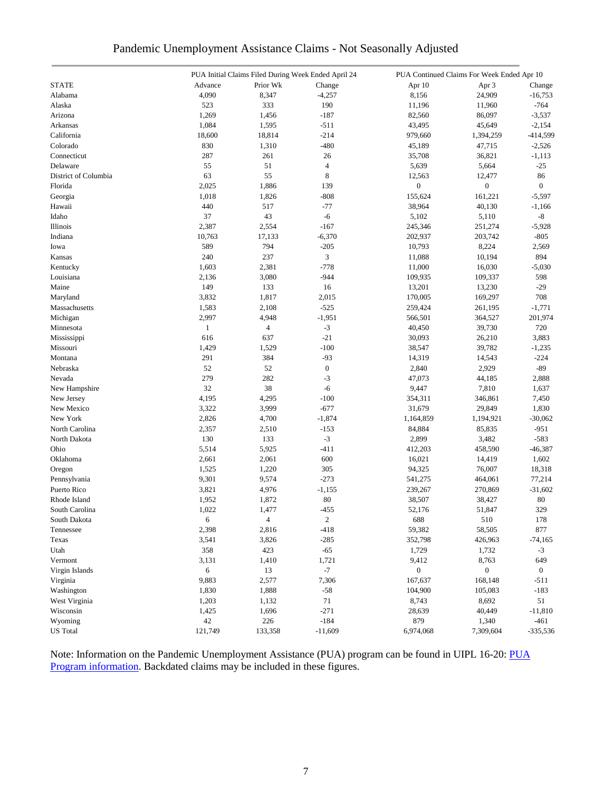| Pandemic Unemployment Assistance Claims - Not Seasonally Adjusted |  |  |
|-------------------------------------------------------------------|--|--|
|                                                                   |  |  |

|                      |              | PUA Initial Claims Filed During Week Ended April 24 |                  |                  | PUA Continued Claims For Week Ended Apr 10 |                  |
|----------------------|--------------|-----------------------------------------------------|------------------|------------------|--------------------------------------------|------------------|
| <b>STATE</b>         | Advance      | Prior Wk                                            | Change           | Apr 10           | Apr 3                                      | Change           |
| Alabama              | 4,090        | 8,347                                               | $-4,257$         | 8,156            | 24,909                                     | $-16,753$        |
| Alaska               | 523          | 333                                                 | 190              | 11,196           | 11,960                                     | $-764$           |
| Arizona              | 1,269        | 1,456                                               | $-187$           | 82,560           | 86,097                                     | $-3,537$         |
| Arkansas             | 1,084        | 1,595                                               | $-511$           | 43,495           | 45,649                                     | $-2,154$         |
| California           | 18,600       | 18,814                                              | $-214$           | 979,660          | 1,394,259                                  | $-414,599$       |
| Colorado             | 830          | 1,310                                               | $-480$           | 45,189           | 47,715                                     | $-2,526$         |
| Connecticut          | 287          | 261                                                 | 26               | 35,708           | 36,821                                     | $-1,113$         |
| Delaware             | 55           | 51                                                  | $\overline{4}$   | 5,639            | 5,664                                      | $-25$            |
| District of Columbia | 63           | 55                                                  | 8                | 12,563           | 12,477                                     | 86               |
| Florida              | 2,025        | 1,886                                               | 139              | $\boldsymbol{0}$ | $\boldsymbol{0}$                           | $\boldsymbol{0}$ |
| Georgia              | 1,018        | 1,826                                               | $-808$           | 155,624          | 161,221                                    | $-5,597$         |
| Hawaii               | 440          | 517                                                 | $-77$            | 38,964           | 40,130                                     | $-1,166$         |
| Idaho                | 37           | 43                                                  | $-6$             | 5,102            | 5,110                                      | -8               |
| Illinois             | 2,387        | 2,554                                               | $-167$           | 245,346          | 251,274                                    | $-5,928$         |
| Indiana              | 10,763       | 17,133                                              | $-6,370$         | 202,937          | 203,742                                    | $-805$           |
| Iowa                 | 589          | 794                                                 | $-205$           | 10,793           | 8,224                                      | 2,569            |
| Kansas               | 240          | 237                                                 | 3                | 11,088           | 10,194                                     | 894              |
| Kentucky             | 1,603        | 2,381                                               | $-778$           | 11,000           | 16,030                                     | $-5,030$         |
| Louisiana            | 2,136        | 3,080                                               | $-944$           | 109,935          | 109,337                                    | 598              |
|                      |              |                                                     | 16               |                  |                                            |                  |
| Maine                | 149<br>3,832 | 133                                                 |                  | 13,201           | 13,230                                     | $-29$<br>708     |
| Maryland             |              | 1,817                                               | 2,015            | 170,005          | 169,297                                    |                  |
| Massachusetts        | 1,583        | 2,108                                               | $-525$           | 259,424          | 261,195                                    | $-1,771$         |
| Michigan             | 2,997        | 4,948                                               | $-1,951$         | 566,501          | 364,527                                    | 201,974          |
| Minnesota            | $\mathbf{1}$ | 4                                                   | $-3$             | 40,450           | 39,730                                     | 720              |
| Mississippi          | 616          | 637                                                 | $-21$            | 30,093           | 26,210                                     | 3,883            |
| Missouri             | 1,429        | 1,529                                               | $-100$           | 38,547           | 39,782                                     | $-1,235$         |
| Montana              | 291          | 384                                                 | $-93$            | 14,319           | 14,543                                     | $-224$           |
| Nebraska             | 52           | 52                                                  | $\boldsymbol{0}$ | 2,840            | 2,929                                      | $-89$            |
| Nevada               | 279          | 282                                                 | $-3$             | 47,073           | 44,185                                     | 2,888            |
| New Hampshire        | 32           | 38                                                  | $-6$             | 9,447            | 7,810                                      | 1,637            |
| New Jersey           | 4,195        | 4,295                                               | $-100$           | 354,311          | 346,861                                    | 7,450            |
| New Mexico           | 3,322        | 3,999                                               | $-677$           | 31,679           | 29,849                                     | 1,830            |
| New York             | 2,826        | 4,700                                               | $-1,874$         | 1,164,859        | 1,194,921                                  | $-30,062$        |
| North Carolina       | 2,357        | 2,510                                               | $-153$           | 84,884           | 85,835                                     | $-951$           |
| North Dakota         | 130          | 133                                                 | $-3$             | 2,899            | 3,482                                      | $-583$           |
| Ohio                 | 5,514        | 5,925                                               | $-411$           | 412,203          | 458,590                                    | $-46,387$        |
| Oklahoma             | 2,661        | 2,061                                               | 600              | 16,021           | 14,419                                     | 1,602            |
| Oregon               | 1,525        | 1,220                                               | 305              | 94,325           | 76,007                                     | 18,318           |
| Pennsylvania         | 9,301        | 9,574                                               | $-273$           | 541,275          | 464,061                                    | 77,214           |
| Puerto Rico          | 3,821        | 4,976                                               | $-1,155$         | 239,267          | 270,869                                    | $-31,602$        |
| Rhode Island         | 1,952        | 1,872                                               | 80               | 38,507           | 38,427                                     | 80               |
| South Carolina       | 1,022        | 1,477                                               | $-455$           | 52,176           | 51,847                                     | 329              |
| South Dakota         | 6            | $\overline{\mathcal{A}}$                            | $\overline{c}$   | 688              | 510                                        | 178              |
| Tennessee            | 2,398        | 2,816                                               | $-418$           | 59,382           | 58,505                                     | 877              |
| Texas                | 3,541        | 3,826                                               | $-285$           | 352,798          | 426,963                                    | $-74,165$        |
| Utah                 | 358          | 423                                                 | $-65$            | 1,729            | 1,732                                      | $-3$             |
| Vermont              | 3,131        | 1,410                                               | 1,721            | 9,412            | 8,763                                      | 649              |
| Virgin Islands       | 6            | 13                                                  | $-7$             | $\boldsymbol{0}$ | $\boldsymbol{0}$                           | $\boldsymbol{0}$ |
| Virginia             | 9,883        | 2,577                                               | 7,306            | 167,637          | 168,148                                    | $-511$           |
| Washington           | 1,830        | 1,888                                               | $-58$            | 104,900          | 105,083                                    | $-183$           |
| West Virginia        | 1,203        | 1,132                                               | $71\,$           | 8,743            | 8,692                                      | 51               |
| Wisconsin            | 1,425        | 1,696                                               | $-271$           | 28,639           | 40,449                                     | $-11,810$        |
| Wyoming              | 42           | 226                                                 | $-184$           | 879              | 1,340                                      | -461             |
| <b>US</b> Total      | 121,749      | 133,358                                             | $-11,609$        | 6,974,068        | 7,309,604                                  | $-335,536$       |
|                      |              |                                                     |                  |                  |                                            |                  |

Note: Information on the Pandemic Unemployment Assistance (PUA) program can be found in UIPL 16-20: PUA [Program information.](https://wdr.doleta.gov/directives/corr_doc.cfm?DOCN=4628) Backdated claims may be included in these figures.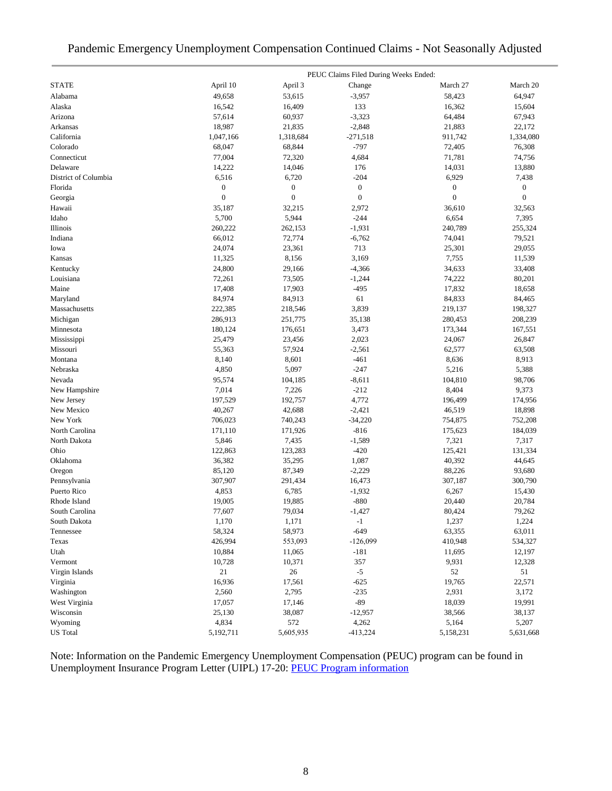### Pandemic Emergency Unemployment Compensation Continued Claims - Not Seasonally Adjusted

|                      | PEUC Claims Filed During Weeks Ended: |                  |                  |                  |                  |  |  |
|----------------------|---------------------------------------|------------------|------------------|------------------|------------------|--|--|
| <b>STATE</b>         | April 10                              | April 3          | Change           | March 27         | March 20         |  |  |
| Alabama              | 49.658                                | 53,615           | $-3,957$         | 58,423           | 64,947           |  |  |
| Alaska               | 16,542                                | 16,409           | 133              | 16,362           | 15,604           |  |  |
| Arizona              | 57,614                                | 60,937           | $-3,323$         | 64,484           | 67,943           |  |  |
| Arkansas             | 18,987                                | 21,835           | $-2,848$         | 21,883           | 22,172           |  |  |
| California           | 1,047,166                             | 1,318,684        | $-271,518$       | 911,742          | 1,334,080        |  |  |
| Colorado             | 68,047                                | 68,844           | $-797$           | 72,405           | 76,308           |  |  |
| Connecticut          | 77,004                                | 72,320           | 4,684            | 71,781           | 74,756           |  |  |
| Delaware             | 14,222                                | 14,046           | 176              | 14,031           | 13,880           |  |  |
| District of Columbia | 6,516                                 | 6,720            | $-204$           | 6,929            | 7,438            |  |  |
| Florida              | $\boldsymbol{0}$                      | $\boldsymbol{0}$ | $\boldsymbol{0}$ | $\boldsymbol{0}$ | $\boldsymbol{0}$ |  |  |
| Georgia              | $\overline{0}$                        | $\boldsymbol{0}$ | $\overline{0}$   | $\mathbf{0}$     | $\overline{0}$   |  |  |
| Hawaii               | 35,187                                | 32,215           | 2,972            | 36,610           | 32,563           |  |  |
| Idaho                | 5,700                                 | 5,944            | $-244$           | 6,654            | 7,395            |  |  |
| Illinois             | 260,222                               | 262,153          | $-1,931$         | 240,789          | 255,324          |  |  |
| Indiana              | 66,012                                | 72,774           | $-6,762$         | 74,041           | 79,521           |  |  |
| Iowa                 | 24,074                                | 23,361           | 713              | 25,301           | 29,055           |  |  |
| Kansas               | 11,325                                | 8,156            | 3,169            | 7,755            | 11,539           |  |  |
| Kentucky             | 24,800                                | 29,166           | $-4,366$         | 34,633           | 33,408           |  |  |
| Louisiana            | 72,261                                | 73,505           | $-1,244$         | 74,222           | 80,201           |  |  |
| Maine                | 17,408                                | 17,903           | $-495$           | 17,832           | 18,658           |  |  |
| Maryland             | 84,974                                | 84,913           | 61               | 84,833           | 84,465           |  |  |
| Massachusetts        | 222,385                               | 218,546          | 3,839            | 219,137          | 198,327          |  |  |
| Michigan             | 286,913                               | 251,775          | 35,138           | 280,453          | 208,239          |  |  |
| Minnesota            | 180,124                               | 176,651          | 3,473            | 173,344          | 167,551          |  |  |
| Mississippi          | 25,479                                | 23,456           | 2,023            | 24,067           | 26,847           |  |  |
| Missouri             | 55,363                                | 57,924           | $-2,561$         | 62,577           | 63,508           |  |  |
| Montana              | 8,140                                 | 8,601            | $-461$           | 8,636            | 8,913            |  |  |
| Nebraska             | 4,850                                 | 5,097            | $-247$           | 5,216            | 5,388            |  |  |
| Nevada               | 95,574                                | 104,185          | $-8,611$         | 104,810          | 98,706           |  |  |
| New Hampshire        | 7,014                                 | 7,226            | $-212$           | 8,404            | 9,373            |  |  |
| New Jersey           | 197,529                               | 192,757          | 4,772            | 196,499          | 174,956          |  |  |
| New Mexico           | 40,267                                | 42,688           | $-2,421$         | 46,519           | 18,898           |  |  |
| New York             | 706,023                               | 740,243          | $-34,220$        | 754,875          | 752,208          |  |  |
| North Carolina       | 171,110                               | 171,926          | $-816$           | 175,623          | 184,039          |  |  |
| North Dakota         | 5,846                                 | 7,435            | $-1,589$         | 7,321            | 7,317            |  |  |
| Ohio                 | 122,863                               | 123,283          | $-420$           | 125,421          | 131,334          |  |  |
| Oklahoma             | 36,382                                | 35,295           | 1,087            | 40,392           | 44,645           |  |  |
| Oregon               | 85,120                                | 87,349           | $-2,229$         | 88,226           | 93,680           |  |  |
| Pennsylvania         | 307,907                               | 291,434          | 16,473           | 307,187          | 300,790          |  |  |
| Puerto Rico          | 4,853                                 | 6,785            | $-1,932$         | 6,267            | 15,430           |  |  |
| Rhode Island         | 19,005                                | 19,885           | $-880$           | 20,440           | 20,784           |  |  |
| South Carolina       | 77,607                                | 79,034           | $-1,427$         | 80,424           | 79,262           |  |  |
| South Dakota         | 1,170                                 | 1,171            | $-1$             | 1,237            | 1,224            |  |  |
| Tennessee            | 58,324                                | 58,973           | $-649$           | 63,355           | 63,011           |  |  |
| Texas                | 426,994                               | 553,093          | $-126,099$       | 410,948          | 534,327          |  |  |
| Utah                 | 10,884                                | 11,065           | $-181$           | 11,695           | 12,197           |  |  |
| Vermont              | 10,728                                | 10,371           | 357              | 9,931            | 12,328           |  |  |
| Virgin Islands       | 21                                    | 26               | $-5$             | 52               | 51               |  |  |
| Virginia             | 16,936                                | 17,561           | $-625$           | 19,765           | 22,571           |  |  |
| Washington           | 2,560                                 | 2,795            | $-235$           | 2,931            | 3,172            |  |  |
| West Virginia        | 17,057                                | 17,146           | $-89$            | 18,039           | 19,991           |  |  |
| Wisconsin            | 25,130                                | 38,087           | $-12,957$        | 38,566           | 38,137           |  |  |
| Wyoming              | 4,834                                 | 572              | 4,262            | 5,164            | 5,207            |  |  |
|                      | 5,192,711                             |                  |                  |                  |                  |  |  |
| <b>US</b> Total      |                                       | 5,605,935        | $-413,224$       | 5,158,231        | 5,631,668        |  |  |

Note: Information on the Pandemic Emergency Unemployment Compensation (PEUC) program can be found in Unemployment Insurance Program Letter (UIPL) 17-20: [PEUC Program information](https://wdr.doleta.gov/directives/corr_doc.cfm?DOCN=8452)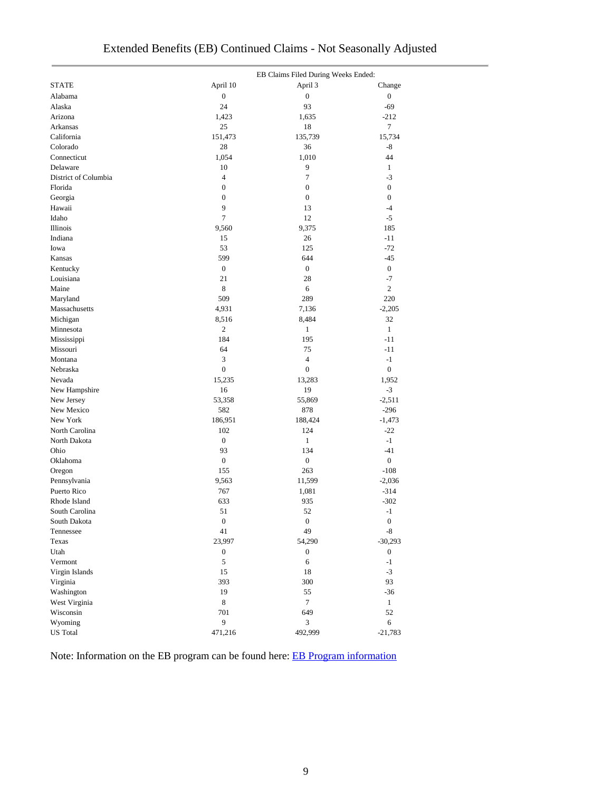|                            |                  | EB Claims Filed During Weeks Ended: |                  |
|----------------------------|------------------|-------------------------------------|------------------|
| <b>STATE</b>               | April 10         | April 3                             | Change           |
| Alabama                    | $\boldsymbol{0}$ | $\boldsymbol{0}$                    | $\boldsymbol{0}$ |
| Alaska                     | 24               | 93                                  | $-69$            |
| Arizona                    | 1,423            | 1,635                               | $-212$           |
| Arkansas                   | 25               | 18                                  | $\tau$           |
| California                 | 151,473          | 135,739                             | 15,734           |
| Colorado                   | 28               | 36                                  | -8               |
| Connecticut                | 1,054            | 1,010                               | 44               |
| Delaware                   | 10               | 9                                   | $\mathbf{1}$     |
| District of Columbia       | $\overline{4}$   | $\tau$                              | $-3$             |
| Florida                    | $\boldsymbol{0}$ | $\boldsymbol{0}$                    | $\boldsymbol{0}$ |
| Georgia                    | $\boldsymbol{0}$ | $\boldsymbol{0}$                    | $\boldsymbol{0}$ |
| Hawaii                     | 9                | 13                                  | $-4$             |
| Idaho                      | $\overline{7}$   | 12                                  | $-5$             |
| Illinois                   | 9,560            | 9,375                               | 185              |
| Indiana                    | 15               | 26                                  | $-11$            |
| Iowa                       | 53               | 125                                 | $-72$            |
| Kansas                     | 599              | 644                                 | $-45$            |
| Kentucky                   | $\boldsymbol{0}$ | $\boldsymbol{0}$                    | $\boldsymbol{0}$ |
| Louisiana                  | 21               | 28                                  | $-7$             |
| Maine                      | 8                | 6                                   | $\mathbf{2}$     |
| Maryland                   | 509              | 289                                 | 220              |
| Massachusetts              | 4,931            | 7,136                               | $-2,205$         |
| Michigan                   | 8,516            | 8,484                               | 32               |
| Minnesota                  | $\sqrt{2}$       | $\mathbf{1}$                        | $\mathbf{1}$     |
| Mississippi                | 184              | 195                                 | $-11$            |
| Missouri                   | 64               | 75                                  | $-11$            |
| Montana                    | 3                | $\overline{4}$                      | $-1$             |
| Nebraska                   | $\boldsymbol{0}$ | $\boldsymbol{0}$                    | $\boldsymbol{0}$ |
| Nevada                     | 15,235           | 13,283                              | 1,952            |
| New Hampshire              | 16               | 19                                  | $-3$             |
| New Jersey                 | 53,358           | 55,869                              | $-2,511$         |
| New Mexico                 | 582              | 878                                 | $-296$           |
| New York                   | 186,951          | 188,424                             | $-1,473$         |
| North Carolina             | 102              | 124                                 | $-22$            |
| North Dakota               | $\boldsymbol{0}$ | $\mathbf{1}$                        | $-1$             |
| Ohio                       | 93               | 134                                 | $-41$            |
| Oklahoma                   | $\boldsymbol{0}$ | $\boldsymbol{0}$                    | $\overline{0}$   |
| Oregon                     | 155              | 263                                 | $-108$           |
| Pennsylvania               | 9,563            | 11,599                              | $-2,036$         |
| Puerto Rico                | 767              | 1,081                               | $-314$           |
| Rhode Island               | 633              | 935                                 | $-302$           |
| South Carolina             | 51               | 52                                  | $-1$             |
| South Dakota               | $\boldsymbol{0}$ | $\boldsymbol{0}$                    | $\boldsymbol{0}$ |
| Tennessee                  | 41               | 49                                  | $\mbox{-}8$      |
| Texas                      | 23,997           | 54,290                              | $-30,293$        |
| Utah                       | $\boldsymbol{0}$ | $\boldsymbol{0}$                    | $\boldsymbol{0}$ |
| Vermont                    | 5                | 6                                   | $-1$             |
|                            |                  |                                     | $-3$             |
| Virgin Islands<br>Virginia | 15<br>393        | 18<br>300                           | 93               |
|                            | 19               |                                     |                  |
| Washington                 |                  | 55                                  | $-36$            |
| West Virginia              | $\,$ 8 $\,$      | $\tau$                              | $\mathbf{1}$     |
| Wisconsin                  | 701<br>9         | 649                                 | 52               |
| Wyoming                    |                  | 3                                   | 6                |
| <b>US</b> Total            | 471,216          | 492,999                             | $-21,783$        |

## Extended Benefits (EB) Continued Claims - Not Seasonally Adjusted

Note: Information on the EB program can be found here: [EB Program information](https://oui.doleta.gov/unemploy/extenben.asp)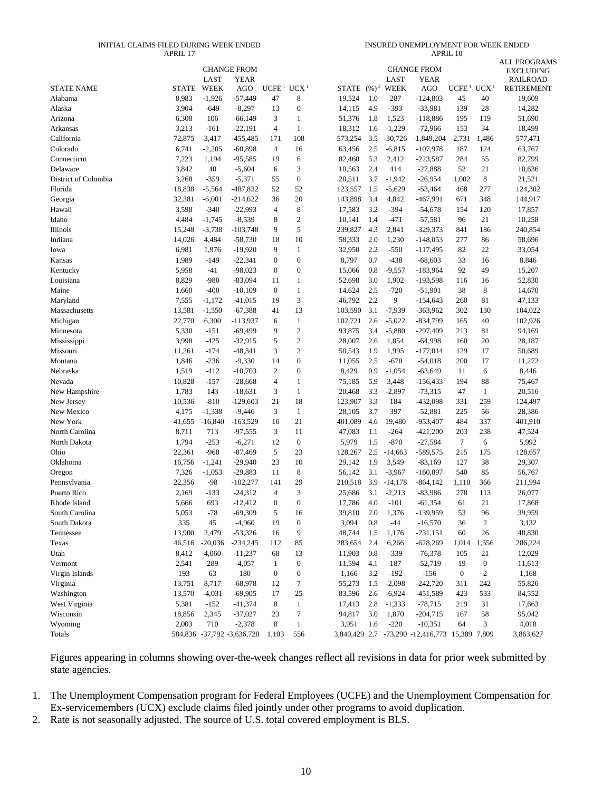#### INITIAL CLAIMS FILED DURING WEEK ENDED APRIL 17

| INSURED UNEMPLOYMENT FOR WEEK ENDED |  |
|-------------------------------------|--|
| APRIL 10                            |  |

|                      |              | LAST        | <b>CHANGE FROM</b><br><b>YEAR</b> |                                    |                  |                             |     | LAST        | <b>CHANGE FROM</b><br><b>YEAR</b>              |                   |                  | <b>ALL PROGRAMS</b><br><b>EXCLUDING</b><br><b>RAILROAD</b> |
|----------------------|--------------|-------------|-----------------------------------|------------------------------------|------------------|-----------------------------|-----|-------------|------------------------------------------------|-------------------|------------------|------------------------------------------------------------|
| <b>STATE NAME</b>    | <b>STATE</b> | <b>WEEK</b> | AGO                               | UCFE <sup>1</sup> UCX <sup>1</sup> |                  | STATE (%) <sup>2</sup> WEEK |     |             | AGO                                            | UCFE <sup>1</sup> | UCX <sup>1</sup> | <b>RETIREMENT</b>                                          |
| Alabama              | 8,983        | $-1,926$    | $-57,449$                         | 47                                 | 8                | 19,524                      | 1.0 | 287         | $-124,803$                                     | 45                | 40               | 19,609                                                     |
| Alaska               | 3,904        | $-649$      | $-8,297$                          | 13                                 | $\boldsymbol{0}$ | 14,115                      | 4.9 | $-393$      | $-33,981$                                      | 139               | 28               | 14,282                                                     |
| Arizona              | 6,308        | 106         | $-66,149$                         | 3                                  | $\mathbf{1}$     | 51,376                      | 1.8 | 1,523       | $-118,886$                                     | 195               | 119              | 51,690                                                     |
| Arkansas             | 3,213        | $-161$      | $-22,191$                         | $\overline{4}$                     | $\mathbf{1}$     | 18,312                      | 1.6 | $-1,229$    | $-72,966$                                      | 153               | 34               | 18,499                                                     |
| California           | 72,875       | 3,417       | -455,485                          | 171                                | 108              | 573,254                     | 3.5 | $-30,726$   | $-1,849,204$                                   | 2,731             | 1,486            | 577,471                                                    |
| Colorado             | 6,741        | $-2,205$    | $-60,898$                         | $\overline{4}$                     | 16               | 63,456                      | 2.5 | $-6,815$    | $-107,978$                                     | 187               | 124              | 63,767                                                     |
| Connecticut          | 7,223        | 1,194       | $-95,585$                         | 19                                 | 6                | 82,460                      | 5.3 | 2,412       | $-223,587$                                     | 284               | 55               | 82,799                                                     |
| Delaware             | 3,842        | 40          | $-5,604$                          | 6                                  | 3                | 10,563                      | 2.4 | 414         | $-27,888$                                      | 52                | 21               | 10,636                                                     |
| District of Columbia | 3,268        | $-359$      | $-5,371$                          | 55                                 | $\boldsymbol{0}$ | 20,511                      | 3.7 | $-1,942$    | $-26,954$                                      | 1,002             | $\,8\,$          | 21,521                                                     |
| Florida              | 18,838       | $-5,564$    | -487,832                          | 52                                 | 52               | 123,557                     | 1.5 | $-5,629$    | $-53,464$                                      | 468               | 277              | 124,302                                                    |
| Georgia              | 32,381       | $-6,001$    | $-214,622$                        | 36                                 | 20               | 143,898                     | 3.4 | 4,842       | $-467,991$                                     | 671               | 348              | 144,917                                                    |
| Hawaii               | 3,598        | $-340$      | $-22,993$                         | $\overline{4}$                     | 8                | 17,583                      | 3.2 | $-394$      | $-54,678$                                      | 154               | 120              | 17,857                                                     |
| Idaho                | 4,484        | $-1,745$    | $-8,539$                          | 8                                  | $\mathbf{2}$     | 10,141                      | 1.4 | $-471$      | $-57,581$                                      | 96                | 21               | 10,258                                                     |
| Illinois             | 15,248       | $-3,738$    | $-103,748$                        | 9                                  | 5                | 239,827                     | 4.3 | 2,841       | $-329,373$                                     | 841               | 186              | 240,854                                                    |
| Indiana              | 14,026       | 4,484       | $-58,730$                         | 18                                 | 10               | 58,333                      | 2.0 | 1,230       | $-148,053$                                     | 277               | 86               | 58,696                                                     |
| Iowa                 | 6,981        | 1,976       | $-19,920$                         | 9                                  | $\mathbf{1}$     | 32,950                      | 2.2 | $-550$      | $-117,495$                                     | 82                | 22               | 33,054                                                     |
| Kansas               | 1,989        | $-149$      | $-22,341$                         | $\mathbf{0}$                       | $\boldsymbol{0}$ | 8,797                       | 0.7 | $-438$      | $-68,603$                                      | 33                | 16               | 8,846                                                      |
| Kentucky             | 5,958        | -41         | $-98,023$                         | $\boldsymbol{0}$                   | $\boldsymbol{0}$ | 15,066                      | 0.8 | $-9,557$    | $-183,964$                                     | 92                | 49               | 15,207                                                     |
| Louisiana            | 8,829        | $-980$      | $-83,094$                         | 11                                 | 1                | 52,698                      | 3.0 | 1,902       | $-193,598$                                     | 116               | 16               | 52,830                                                     |
| Maine                | 1,660        | $-400$      | $-10,109$                         | $\overline{0}$                     | $\mathbf{1}$     | 14,624                      | 2.5 | $-720$      | $-51,901$                                      | 38                | 8                | 14,670                                                     |
| Maryland             | 7,555        | $-1,172$    | $-41,015$                         | 19                                 | 3                | 46,792                      | 2.2 | 9           | $-154,643$                                     | 260               | 81               | 47,133                                                     |
| Massachusetts        | 13,581       | $-1,550$    | $-67,388$                         | 41                                 | 13               | 103,590                     | 3.1 | $-7,939$    | $-363,962$                                     | 302               | 130              | 104,022                                                    |
| Michigan             | 22,770       | 6,300       | -113,937                          | 6                                  | $\mathbf{1}$     | 102,721                     | 2.6 | $-5,022$    | $-834,799$                                     | 165               | 40               | 102,926                                                    |
| Minnesota            | 5,330        | $-151$      | $-69,499$                         | 9                                  | $\boldsymbol{2}$ | 93,875                      | 3.4 | $-5,880$    | $-297,409$                                     | 213               | 81               | 94,169                                                     |
| Mississippi          | 3,998        | $-425$      | $-32,915$                         | 5                                  | $\overline{c}$   | 28,007                      | 2.6 | 1,054       | $-64,998$                                      | 160               | 20               | 28,187                                                     |
| Missouri             | 11,261       | $-174$      | $-48,341$                         | 3                                  | $\overline{c}$   | 50,543                      | 1.9 | 1,995       | $-177,014$                                     | 129               | 17               | 50,689                                                     |
| Montana              | 1,846        | $-236$      | $-9,330$                          | 14                                 | $\boldsymbol{0}$ | 11,055                      | 2.5 | $-670$      | $-54,018$                                      | 200               | 17               | 11,272                                                     |
| Nebraska             | 1,519        | $-412$      | $-10,703$                         | $\overline{2}$                     | $\boldsymbol{0}$ | 8,429                       | 0.9 | $-1,054$    | $-63,649$                                      | 11                | 6                | 8,446                                                      |
| Nevada               | 10,828       | $-157$      | $-28,668$                         | $\overline{4}$                     | $\mathbf{1}$     | 75,185                      | 5.9 | 3,448       | $-156,433$                                     | 194               | 88               | 75,467                                                     |
| New Hampshire        | 1,783        | 143         | $-18,631$                         | 3                                  | $\mathbf{1}$     | 20,468                      | 3.3 | $-2,897$    | $-73,315$                                      | 47                | $\mathbf{1}$     | 20,516                                                     |
| New Jersey           | 10,536       | $-810$      | $-129,603$                        | 21                                 | 18               | 123,907                     | 3.3 | 184         | $-432,098$                                     | 331               | 259              | 124,497                                                    |
| New Mexico           | 4,175        | $-1,338$    | $-9,446$                          | 3                                  | $\mathbf{1}$     | 28,105                      | 3.7 | 397         | $-52,881$                                      | 225               | 56               | 28,386                                                     |
| New York             | 41,655       | $-16,840$   | $-163,529$                        | 16                                 | 21               | 401,089                     | 4.6 | 19,480      | $-953,407$                                     | 484               | 337              | 401,910                                                    |
| North Carolina       | 8,711        | 713         | $-97,555$                         | 3                                  | 11               | 47,083                      | 1.1 | $-264$      | $-421,200$                                     | 203               | 238              | 47,524                                                     |
| North Dakota         | 1,794        | $-253$      | $-6,271$                          | 12                                 | $\boldsymbol{0}$ | 5,979                       | 1.5 | $-870$      | $-27,584$                                      | $\tau$            | 6                | 5,992                                                      |
| Ohio                 | 22,361       | $-968$      | $-87,469$                         | 5                                  | 23               | 128,267                     | 2.5 | $-14,663$   | $-589,575$                                     | 215               | 175              | 128,657                                                    |
| Oklahoma             | 16,756       | $-1,241$    | $-29,940$                         | 23                                 | 10               | 29,142                      | 1.9 | 3,549       | $-83,169$                                      | 127               | 38               | 29,307                                                     |
| Oregon               | 7,326        | $-1,053$    | $-29,883$                         | 11                                 | 8                | 56,142                      | 3.1 | $-3,967$    | $-160,897$                                     | 540               | 85               | 56,767                                                     |
| Pennsylvania         | 22,356       | $-98$       | $-102,277$                        | 141                                | 29               | 210,518                     |     | 3.9 -14,178 | $-864,142$                                     | 1,110             | 366              | 211,994                                                    |
| Puerto Rico          | 2,169        | $-133$      | $-24,312$                         | $\overline{4}$                     | 3                | 25,686                      | 3.1 | $-2,213$    | $-83,986$                                      | 278               | 113              | 26,077                                                     |
| Rhode Island         | 5,666        | 693         | $-12,412$                         | $\mathbf{0}$                       | $\overline{0}$   | 17,786                      | 4.0 | $-101$      | $-61,354$                                      | 61                | 21               | 17,868                                                     |
| South Carolina       | 5,053        | $-78$       | -69,309                           | 5                                  | 16               | 39,810                      | 2.0 | 1,376       | -139,959                                       | 53                | 96               | 39,959                                                     |
| South Dakota         | 335          | 45          | $-4,960$                          | 19                                 | $\boldsymbol{0}$ | 3,094                       | 0.8 | -44         | $-16,570$                                      | 36                | $\boldsymbol{2}$ | 3,132                                                      |
| Tennessee            | 13,900       | 2,479       | $-53,326$                         | 16                                 | 9                | 48,744                      | 1.5 | 1,176       | $-231,151$                                     | 60                | 26               | 48,830                                                     |
| Texas                | 46,516       | $-20,036$   | -234,245                          | 112                                | 85               | 283,654                     | 2.4 | 6,266       | $-628,269$                                     | 1,014             | 1,556            | 286,224                                                    |
| Utah                 | 8,412        | 4,060       | $-11,237$                         | 68                                 | 13               | 11,903                      | 0.8 | $-339$      | $-76,378$                                      | 105               | 21               | 12,029                                                     |
| Vermont              | 2,541        | 289         | $-4,057$                          | $\mathbf{1}$                       | $\boldsymbol{0}$ | 11,594                      | 4.1 | 187         | $-52,719$                                      | 19                | $\boldsymbol{0}$ | 11,613                                                     |
| Virgin Islands       | 193          | 63          | 180                               | $\boldsymbol{0}$                   | $\boldsymbol{0}$ | 1,166                       | 3.2 | $-192$      | $-156$                                         | $\boldsymbol{0}$  | $\boldsymbol{2}$ | 1,168                                                      |
| Virginia             | 13,751       | 8,717       | $-68,978$                         | 12                                 | $\boldsymbol{7}$ | 55,273                      | 1.5 | $-2,098$    | $-242,720$                                     | 311               | 242              | 55,826                                                     |
| Washington           | 13,570       | $-4,031$    | $-69,905$                         | 17                                 | 25               | 83,596                      | 2.6 | $-6,924$    | $-451,589$                                     | 423               | 533              | 84,552                                                     |
| West Virginia        | 5,381        | $-152$      | $-41,374$                         | 8                                  | $\mathbf{1}$     | 17,413                      | 2.8 | $-1,333$    | $-78,715$                                      | 219               | 31               | 17,663                                                     |
| Wisconsin            | 18,856       | 2,345       | $-37,027$                         | 23                                 | 7                | 94,817                      | 3.0 | 1,870       | $-204,715$                                     | 167               | 58               | 95,042                                                     |
| Wyoming              | 2,003        | 710         | $-2,378$                          | 8                                  | $\,1\,$          | 3,951                       | 1.6 | $-220$      | $-10,351$                                      | 64                | 3                | 4,018                                                      |
| Totals               |              |             | 584,836 -37,792 -3,636,720        | 1,103                              | 556              |                             |     |             | 3,840,429 2.7 -73,290 -12,416,773 15,389 7,809 |                   |                  | 3,863,627                                                  |

Figures appearing in columns showing over-the-week changes reflect all revisions in data for prior week submitted by state agencies.

1. The Unemployment Compensation program for Federal Employees (UCFE) and the Unemployment Compensation for Ex-servicemembers (UCX) exclude claims filed jointly under other programs to avoid duplication.

2. Rate is not seasonally adjusted. The source of U.S. total covered employment is BLS.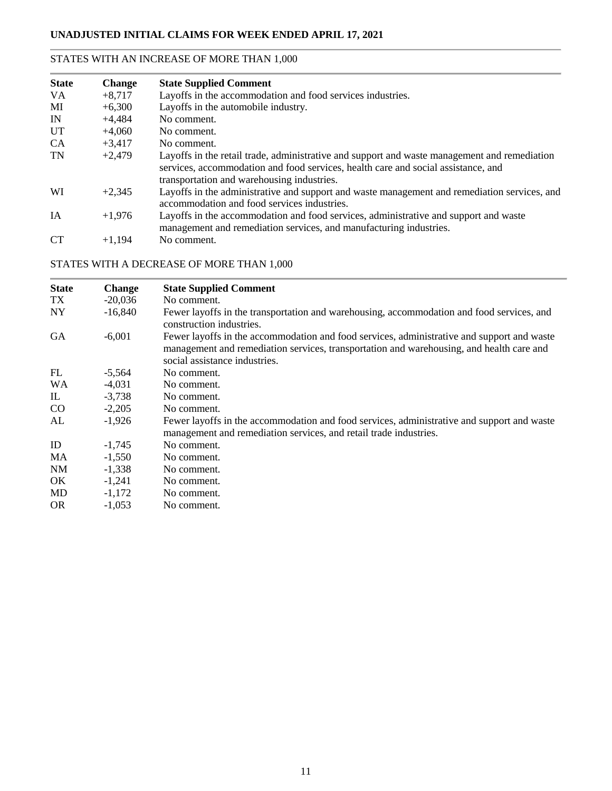### STATES WITH AN INCREASE OF MORE THAN 1,000

| <b>State</b> | <b>Change</b> | <b>State Supplied Comment</b>                                                                                                                                                                                                   |
|--------------|---------------|---------------------------------------------------------------------------------------------------------------------------------------------------------------------------------------------------------------------------------|
| VA.          | $+8,717$      | Layoffs in the accommodation and food services industries.                                                                                                                                                                      |
| MI           | $+6,300$      | Layoffs in the automobile industry.                                                                                                                                                                                             |
| IN           | $+4,484$      | No comment.                                                                                                                                                                                                                     |
| <b>UT</b>    | $+4.060$      | No comment.                                                                                                                                                                                                                     |
| <b>CA</b>    | $+3,417$      | No comment.                                                                                                                                                                                                                     |
| <b>TN</b>    | $+2,479$      | Layoffs in the retail trade, administrative and support and waste management and remediation<br>services, accommodation and food services, health care and social assistance, and<br>transportation and warehousing industries. |
| WI           | $+2,345$      | Layoffs in the administrative and support and waste management and remediation services, and<br>accommodation and food services industries.                                                                                     |
| <b>IA</b>    | $+1.976$      | Layoffs in the accommodation and food services, administrative and support and waste<br>management and remediation services, and manufacturing industries.                                                                      |
| <b>CT</b>    | $+1.194$      | No comment.                                                                                                                                                                                                                     |

### STATES WITH A DECREASE OF MORE THAN 1,000

| <b>State</b> | <b>Change</b> | <b>State Supplied Comment</b>                                                                                                                                                                                           |
|--------------|---------------|-------------------------------------------------------------------------------------------------------------------------------------------------------------------------------------------------------------------------|
| TX           | $-20,036$     | No comment.                                                                                                                                                                                                             |
| <b>NY</b>    | $-16,840$     | Fewer layoffs in the transportation and warehousing, accommodation and food services, and<br>construction industries.                                                                                                   |
| <b>GA</b>    | $-6,001$      | Fewer layoffs in the accommodation and food services, administrative and support and waste<br>management and remediation services, transportation and warehousing, and health care and<br>social assistance industries. |
| FL           | $-5,564$      | No comment.                                                                                                                                                                                                             |
| <b>WA</b>    | $-4,031$      | No comment.                                                                                                                                                                                                             |
| IL           | $-3,738$      | No comment.                                                                                                                                                                                                             |
| $\rm CO$     | $-2,205$      | No comment.                                                                                                                                                                                                             |
| AL           | $-1,926$      | Fewer layoffs in the accommodation and food services, administrative and support and waste<br>management and remediation services, and retail trade industries.                                                         |
| ID           | $-1,745$      | No comment.                                                                                                                                                                                                             |
| MA           | $-1,550$      | No comment.                                                                                                                                                                                                             |
| <b>NM</b>    | $-1.338$      | No comment.                                                                                                                                                                                                             |
| OK.          | $-1,241$      | No comment.                                                                                                                                                                                                             |
| MD           | $-1,172$      | No comment.                                                                                                                                                                                                             |
| <b>OR</b>    | $-1,053$      | No comment.                                                                                                                                                                                                             |